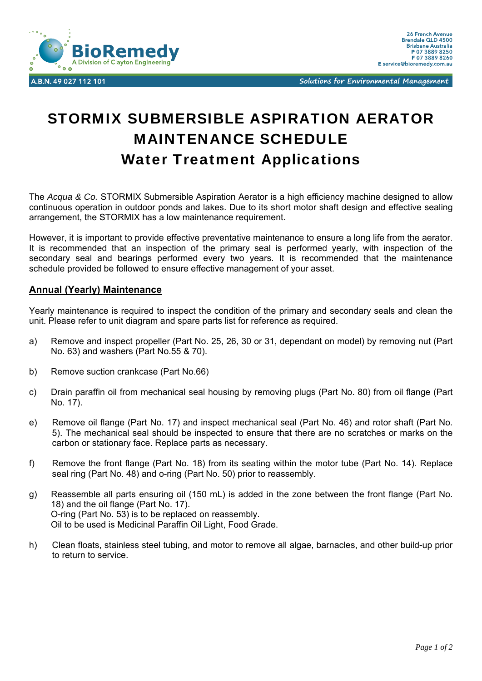

Solutions for Environmental Management

## STORMIX SUBMERSIBLE ASPIRATION AERATOR MAINTENANCE SCHEDULE Water Treatment Applications

The *Acqua & Co.* STORMIX Submersible Aspiration Aerator is a high efficiency machine designed to allow continuous operation in outdoor ponds and lakes. Due to its short motor shaft design and effective sealing arrangement, the STORMIX has a low maintenance requirement.

However, it is important to provide effective preventative maintenance to ensure a long life from the aerator. It is recommended that an inspection of the primary seal is performed yearly, with inspection of the secondary seal and bearings performed every two years. It is recommended that the maintenance schedule provided be followed to ensure effective management of your asset.

## **Annual (Yearly) Maintenance**

Yearly maintenance is required to inspect the condition of the primary and secondary seals and clean the unit. Please refer to unit diagram and spare parts list for reference as required.

- a) Remove and inspect propeller (Part No. 25, 26, 30 or 31, dependant on model) by removing nut (Part No. 63) and washers (Part No.55 & 70).
- b) Remove suction crankcase (Part No.66)
- c) Drain paraffin oil from mechanical seal housing by removing plugs (Part No. 80) from oil flange (Part No. 17).
- e) Remove oil flange (Part No. 17) and inspect mechanical seal (Part No. 46) and rotor shaft (Part No. 5). The mechanical seal should be inspected to ensure that there are no scratches or marks on the carbon or stationary face. Replace parts as necessary.
- f) Remove the front flange (Part No. 18) from its seating within the motor tube (Part No. 14). Replace seal ring (Part No. 48) and o-ring (Part No. 50) prior to reassembly.
- g) Reassemble all parts ensuring oil (150 mL) is added in the zone between the front flange (Part No. 18) and the oil flange (Part No. 17). O-ring (Part No. 53) is to be replaced on reassembly. Oil to be used is Medicinal Paraffin Oil Light, Food Grade.
- h) Clean floats, stainless steel tubing, and motor to remove all algae, barnacles, and other build-up prior to return to service.